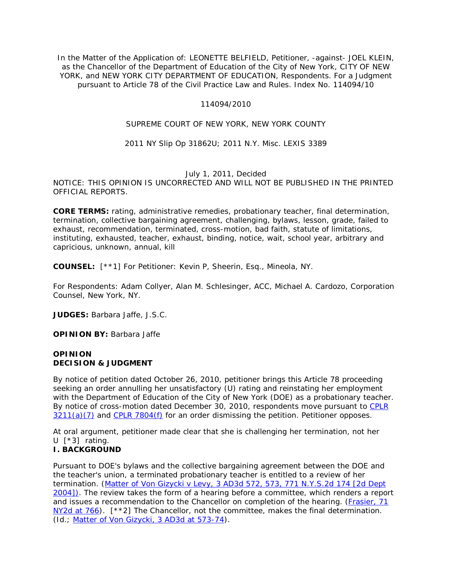In the Matter of the Application of: LEONETTE BELFIELD, Petitioner, -against- JOEL KLEIN, as the Chancellor of the Department of Education of the City of New York, CITY OF NEW YORK, and NEW YORK CITY DEPARTMENT OF EDUCATION, Respondents. For a Judgment pursuant to Article 78 of the Civil Practice Law and Rules. Index No. 114094/10

#### 114094/2010

# SUPREME COURT OF NEW YORK, NEW YORK COUNTY

#### 2011 NY Slip Op 31862U; 2011 N.Y. Misc. LEXIS 3389

# July 1, 2011, Decided

NOTICE: THIS OPINION IS UNCORRECTED AND WILL NOT BE PUBLISHED IN THE PRINTED OFFICIAL REPORTS.

**CORE TERMS:** rating, administrative remedies, probationary teacher, final determination, termination, collective bargaining agreement, challenging, bylaws, lesson, grade, failed to exhaust, recommendation, terminated, cross-motion, bad faith, statute of limitations, instituting, exhausted, teacher, exhaust, binding, notice, wait, school year, arbitrary and capricious, unknown, annual, kill

**COUNSEL:** [\*\*1] For Petitioner: Kevin P, Sheerin, Esq., Mineola, NY.

For Respondents: Adam Collyer, Alan M. Schlesinger, ACC, Michael A. Cardozo, Corporation Counsel, New York, NY.

**JUDGES:** Barbara Jaffe, J.S.C.

**OPINION BY:** Barbara Jaffe

#### **OPINION DECISION & JUDGMENT**

By notice of petition dated October 26, 2010, petitioner brings this Article 78 proceeding seeking an order annulling her unsatisfactory (U) rating and reinstating her employment with the Department of Education of the City of New York (DOE) as a probationary teacher. By notice of cross-motion dated December 30, 2010, respondents move pursuant to [CPLR](http://www.lexisnexis.com.ezproxy.strose.edu/lnacui2api/mungo/lexseestat.do?bct=A&risb=21_T12448327745&homeCsi=9095&A=0.5393658866787943&urlEnc=ISO-8859-1&&citeString=N.Y.%20C.P.L.R.%203211&countryCode=USA)   $3211(a)(7)$  and [CPLR 7804\(f\)](http://www.lexisnexis.com.ezproxy.strose.edu/lnacui2api/mungo/lexseestat.do?bct=A&risb=21_T12448327745&homeCsi=9095&A=0.5393658866787943&urlEnc=ISO-8859-1&&citeString=N.Y.%20C.P.L.R.%207804&countryCode=USA) for an order dismissing the petition. Petitioner opposes.

At oral argument, petitioner made clear that she is challenging her termination, not her U [\*3] rating.

# **I. BACKGROUND**

Pursuant to DOE's bylaws and the collective bargaining agreement between the DOE and the teacher's union, a terminated probationary teacher is entitled to a review of her termination. (*Matter of Von Gizycki v Levy*[, 3 AD3d 572, 573, 771 N.Y.S.2d 174 \[2d Dept](http://www.lexisnexis.com.ezproxy.strose.edu/lnacui2api/mungo/lexseestat.do?bct=A&risb=21_T12448327745&homeCsi=9095&A=0.5393658866787943&urlEnc=ISO-8859-1&&citeString=3%20A.D.3d%20572,%20573&countryCode=USA)  [2004\]\).](http://www.lexisnexis.com.ezproxy.strose.edu/lnacui2api/mungo/lexseestat.do?bct=A&risb=21_T12448327745&homeCsi=9095&A=0.5393658866787943&urlEnc=ISO-8859-1&&citeString=3%20A.D.3d%20572,%20573&countryCode=USA) The review takes the form of a hearing before a committee, which renders a report and issues a recommendation to the Chancellor on completion of the hearing. (*[Frasier](http://www.lexisnexis.com.ezproxy.strose.edu/lnacui2api/mungo/lexseestat.do?bct=A&risb=21_T12448327745&homeCsi=9095&A=0.5393658866787943&urlEnc=ISO-8859-1&&citeString=71%20N.Y.2d%20763,%20766&countryCode=USA)*, 71 [NY2d at 766\)](http://www.lexisnexis.com.ezproxy.strose.edu/lnacui2api/mungo/lexseestat.do?bct=A&risb=21_T12448327745&homeCsi=9095&A=0.5393658866787943&urlEnc=ISO-8859-1&&citeString=71%20N.Y.2d%20763,%20766&countryCode=USA). [\*\*2] The Chancellor, not the committee, makes the final determination. (*Id.; [Matter of Von Gizycki](http://www.lexisnexis.com.ezproxy.strose.edu/lnacui2api/mungo/lexseestat.do?bct=A&risb=21_T12448327745&homeCsi=9095&A=0.5393658866787943&urlEnc=ISO-8859-1&&citeString=3%20A.D.3d%20572,%20573&countryCode=USA)*, 3 AD3d at 573-74).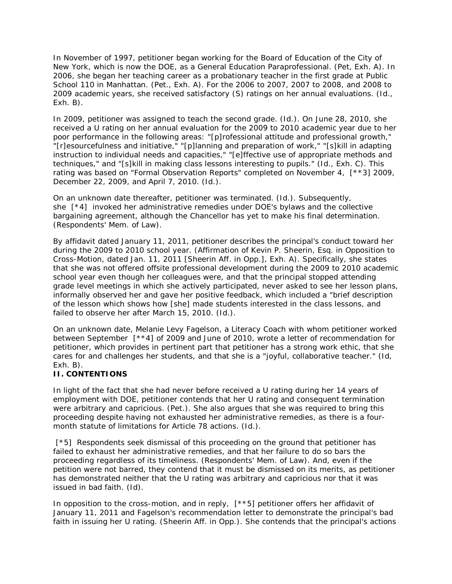In November of 1997, petitioner began working for the Board of Education of the City of New York, which is now the DOE, as a General Education Paraprofessional. (Pet, Exh. A). In 2006, she began her teaching career as a probationary teacher in the first grade at Public School 110 in Manhattan. (Pet., Exh. A). For the 2006 to 2007, 2007 to 2008, and 2008 to 2009 academic years, she received satisfactory (S) ratings on her annual evaluations. (*Id*., Exh. B).

In 2009, petitioner was assigned to teach the second grade. (*Id*.). On June 28, 2010, she received a U rating on her annual evaluation for the 2009 to 2010 academic year due to her poor performance in the following areas: "[p]rofessional attitude and professional growth," "[r]esourcefulness and initiative," "[p]lanning and preparation of work," "[s]kill in adapting instruction to individual needs and capacities," "[e]ffective use of appropriate methods and techniques," and "[s]kill in making class lessons interesting to pupils." (*Id*., Exh. C). This rating was based on "Formal Observation Reports" completed on November 4, [\*\*3] 2009, December 22, 2009, and April 7, 2010. (*Id*.).

On an unknown date thereafter, petitioner was terminated. (*Id*.). Subsequently, she [\*4] invoked her administrative remedies under DOE's bylaws and the collective bargaining agreement, although the Chancellor has yet to make his final determination. (Respondents' Mem. of Law).

By affidavit dated January 11, 2011, petitioner describes the principal's conduct toward her during the 2009 to 2010 school year. (Affirmation of Kevin P. Sheerin, Esq. in Opposition to Cross-Motion, dated Jan. 11, 2011 [Sheerin Aff. in Opp.], Exh. A). Specifically, she states that she was not offered offsite professional development during the 2009 to 2010 academic school year even though her colleagues were, and that the principal stopped attending grade level meetings in which she actively participated, never asked to see her lesson plans, informally observed her and gave her positive feedback, which included a "brief description of the lesson which shows how [she] made students interested in the class lessons, and failed to observe her after March 15, 2010. (*Id*.).

On an unknown date, Melanie Levy Fagelson, a Literacy Coach with whom petitioner worked between September [\*\*4] of 2009 and June of 2010, wrote a letter of recommendation for petitioner, which provides in pertinent part that petitioner has a strong work ethic, that she cares for and challenges her students, and that she is a "joyful, collaborative teacher." (*Id*, Exh. B).

# **II. CONTENTIONS**

In light of the fact that she had never before received a U rating during her 14 years of employment with DOE, petitioner contends that her U rating and consequent termination were arbitrary and capricious. (Pet.). She also argues that she was required to bring this proceeding despite having not exhausted her administrative remedies, as there is a fourmonth statute of limitations for Article 78 actions. (*Id*.).

[\*5] Respondents seek dismissal of this proceeding on the ground that petitioner has failed to exhaust her administrative remedies, and that her failure to do so bars the proceeding regardless of its timeliness. (Respondents' Mem. of Law). And, even if the petition were not barred, they contend that it must be dismissed on its merits, as petitioner has demonstrated neither that the U rating was arbitrary and capricious nor that it was issued in bad faith. (*Id*).

In opposition to the cross-motion, and in reply, [\*\*5] petitioner offers her affidavit of January 11, 2011 and Fagelson's recommendation letter to demonstrate the principal's bad faith in issuing her U rating. (Sheerin Aff. in Opp.). She contends that the principal's actions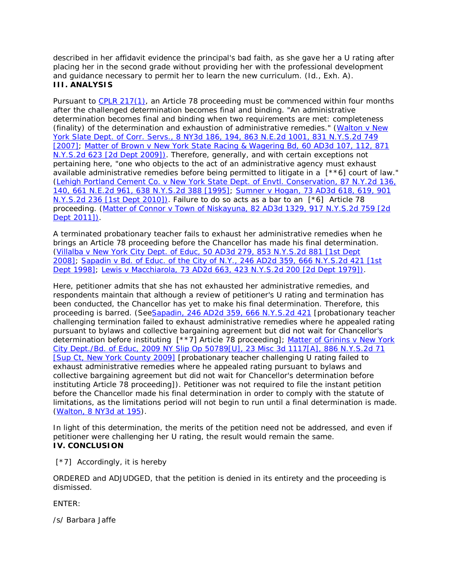described in her affidavit evidence the principal's bad faith, as she gave her a U rating after placing her in the second grade without providing her with the professional development and guidance necessary to permit her to learn the new curriculum. (*Id*., Exh. A). **III. ANALYSIS**

Pursuant to [CPLR 217\(1\),](http://www.lexisnexis.com.ezproxy.strose.edu/lnacui2api/mungo/lexseestat.do?bct=A&risb=21_T12448327745&homeCsi=9095&A=0.5393658866787943&urlEnc=ISO-8859-1&&citeString=N.Y.%20C.P.L.R.%20217&countryCode=USA) an Article 78 proceeding must be commenced within four months after the challenged determination becomes final and binding. "An administrative determination becomes final and binding when two requirements are met: completeness (finality) of the determination and exhaustion of administrative remedies." (*[Walton v New](http://www.lexisnexis.com.ezproxy.strose.edu/lnacui2api/mungo/lexseestat.do?bct=A&risb=21_T12448327745&homeCsi=9095&A=0.5393658866787943&urlEnc=ISO-8859-1&&citeString=8%20N.Y.3d%20186,%20194&countryCode=USA)  York Slate Dept. of Corr. Servs*[., 8 NY3d 186, 194, 863 N.E.2d 1001, 831 N.Y.S.2d 749](http://www.lexisnexis.com.ezproxy.strose.edu/lnacui2api/mungo/lexseestat.do?bct=A&risb=21_T12448327745&homeCsi=9095&A=0.5393658866787943&urlEnc=ISO-8859-1&&citeString=8%20N.Y.3d%20186,%20194&countryCode=USA)  [\[2007\];](http://www.lexisnexis.com.ezproxy.strose.edu/lnacui2api/mungo/lexseestat.do?bct=A&risb=21_T12448327745&homeCsi=9095&A=0.5393658866787943&urlEnc=ISO-8859-1&&citeString=8%20N.Y.3d%20186,%20194&countryCode=USA) *[Matter of Brown v New York State Racing & Wagering Bd](http://www.lexisnexis.com.ezproxy.strose.edu/lnacui2api/mungo/lexseestat.do?bct=A&risb=21_T12448327745&homeCsi=9095&A=0.5393658866787943&urlEnc=ISO-8859-1&&citeString=60%20A.D.3d%20107,%20112&countryCode=USA)*, 60 AD3d 107, 112, 871 [N.Y.S.2d 623 \[2d Dept 2009\]\).](http://www.lexisnexis.com.ezproxy.strose.edu/lnacui2api/mungo/lexseestat.do?bct=A&risb=21_T12448327745&homeCsi=9095&A=0.5393658866787943&urlEnc=ISO-8859-1&&citeString=60%20A.D.3d%20107,%20112&countryCode=USA) Therefore, generally, and with certain exceptions not pertaining here, "one who objects to the act of an administrative agency must exhaust available administrative remedies before being permitted to litigate in a [\*\*6] court of law." (*[Lehigh Portland Cement Co. v New York State Dept. of Envtl. Conservation](http://www.lexisnexis.com.ezproxy.strose.edu/lnacui2api/mungo/lexseestat.do?bct=A&risb=21_T12448327745&homeCsi=9095&A=0.5393658866787943&urlEnc=ISO-8859-1&&citeString=87%20N.Y.2d%20136,%20140&countryCode=USA)*, 87 N.Y.2d 136, [140, 661 N.E.2d 961, 638 N.Y.S.2d 388 \[1995\];](http://www.lexisnexis.com.ezproxy.strose.edu/lnacui2api/mungo/lexseestat.do?bct=A&risb=21_T12448327745&homeCsi=9095&A=0.5393658866787943&urlEnc=ISO-8859-1&&citeString=87%20N.Y.2d%20136,%20140&countryCode=USA) *Sumner v Hogan*[, 73 AD3d 618, 619, 901](http://www.lexisnexis.com.ezproxy.strose.edu/lnacui2api/mungo/lexseestat.do?bct=A&risb=21_T12448327745&homeCsi=9095&A=0.5393658866787943&urlEnc=ISO-8859-1&&citeString=73%20A.D.3d%20618,%20619&countryCode=USA)  [N.Y.S.2d 236 \[1st Dept 2010\]\).](http://www.lexisnexis.com.ezproxy.strose.edu/lnacui2api/mungo/lexseestat.do?bct=A&risb=21_T12448327745&homeCsi=9095&A=0.5393658866787943&urlEnc=ISO-8859-1&&citeString=73%20A.D.3d%20618,%20619&countryCode=USA) Failure to do so acts as a bar to an [\*6] Article 78 proceeding. (*Matter of Connor v Town of Niskayuna*[, 82 AD3d 1329, 917 N.Y.S.2d 759 \[2d](http://www.lexisnexis.com.ezproxy.strose.edu/lnacui2api/mungo/lexseestat.do?bct=A&risb=21_T12448327745&homeCsi=9095&A=0.5393658866787943&urlEnc=ISO-8859-1&&citeString=82%20A.D.3d%201329&countryCode=USA)  [Dept 2011\]\).](http://www.lexisnexis.com.ezproxy.strose.edu/lnacui2api/mungo/lexseestat.do?bct=A&risb=21_T12448327745&homeCsi=9095&A=0.5393658866787943&urlEnc=ISO-8859-1&&citeString=82%20A.D.3d%201329&countryCode=USA)

A terminated probationary teacher fails to exhaust her administrative remedies when he brings an Article 78 proceeding before the Chancellor has made his final determination. (*Villalba v New York City Dept. of Educ*[, 50 AD3d 279, 853 N.Y.S.2d 881 \[1st Dept](http://www.lexisnexis.com.ezproxy.strose.edu/lnacui2api/mungo/lexseestat.do?bct=A&risb=21_T12448327745&homeCsi=9095&A=0.5393658866787943&urlEnc=ISO-8859-1&&citeString=50%20A.D.3d%20279&countryCode=USA)  [2008\];](http://www.lexisnexis.com.ezproxy.strose.edu/lnacui2api/mungo/lexseestat.do?bct=A&risb=21_T12448327745&homeCsi=9095&A=0.5393658866787943&urlEnc=ISO-8859-1&&citeString=50%20A.D.3d%20279&countryCode=USA) *Sapadin v Bd. of Educ. of the City of N.Y*[., 246 AD2d 359, 666 N.Y.S.2d 421 \[1st](http://www.lexisnexis.com.ezproxy.strose.edu/lnacui2api/mungo/lexseestat.do?bct=A&risb=21_T12448327745&homeCsi=9095&A=0.5393658866787943&urlEnc=ISO-8859-1&&citeString=246%20A.D.2d%20359&countryCode=USA)  [Dept 1998\];](http://www.lexisnexis.com.ezproxy.strose.edu/lnacui2api/mungo/lexseestat.do?bct=A&risb=21_T12448327745&homeCsi=9095&A=0.5393658866787943&urlEnc=ISO-8859-1&&citeString=246%20A.D.2d%20359&countryCode=USA) *Lewis v Macchiarola*[, 73 AD2d 663, 423 N.Y.S.2d 200 \[2d Dept 1979\]\).](http://www.lexisnexis.com.ezproxy.strose.edu/lnacui2api/mungo/lexseestat.do?bct=A&risb=21_T12448327745&homeCsi=9095&A=0.5393658866787943&urlEnc=ISO-8859-1&&citeString=73%20A.D.2d%20663&countryCode=USA)

Here, petitioner admits that she has not exhausted her administrative remedies, and respondents maintain that although a review of petitioner's U rating and termination has been conducted, the Chancellor has yet to make his final determination. Therefore, this proceeding is barred. (*SeeSapadin*[, 246 AD2d 359, 666 N.Y.S.2d 421](http://www.lexisnexis.com.ezproxy.strose.edu/lnacui2api/mungo/lexseestat.do?bct=A&risb=21_T12448327745&homeCsi=9095&A=0.5393658866787943&urlEnc=ISO-8859-1&&citeString=246%20A.D.2d%20359&countryCode=USA) [probationary teacher challenging termination failed to exhaust administrative remedies where he appealed rating pursuant to bylaws and collective bargaining agreement but did not wait for Chancellor's determination before instituting [\*\*7] Article 78 proceeding]; *[Matter of Grinins v New York](http://www.lexisnexis.com.ezproxy.strose.edu/lnacui2api/mungo/lexseestat.do?bct=A&risb=21_T12448327745&homeCsi=9095&A=0.5393658866787943&urlEnc=ISO-8859-1&&citeString=23%20Misc.%203d%201117A&countryCode=USA)  City Dept./Bd. of Educ*, 2009 NY Slip Op [50789\[U\], 23 Misc 3d 1117\[A\], 886 N.Y.S.2d 71](http://www.lexisnexis.com.ezproxy.strose.edu/lnacui2api/mungo/lexseestat.do?bct=A&risb=21_T12448327745&homeCsi=9095&A=0.5393658866787943&urlEnc=ISO-8859-1&&citeString=23%20Misc.%203d%201117A&countryCode=USA)  [\[Sup Ct, New York County 2009\]](http://www.lexisnexis.com.ezproxy.strose.edu/lnacui2api/mungo/lexseestat.do?bct=A&risb=21_T12448327745&homeCsi=9095&A=0.5393658866787943&urlEnc=ISO-8859-1&&citeString=23%20Misc.%203d%201117A&countryCode=USA) [probationary teacher challenging U rating failed to exhaust administrative remedies where he appealed rating pursuant to bylaws and collective bargaining agreement but did not wait for Chancellor's determination before instituting Article 78 proceeding]). Petitioner was not required to file the instant petition before the Chancellor made his final determination in order to comply with the statute of limitations, as the limitations period will not begin to run until a final determination is made. (*Walton*[, 8 NY3d at 195\)](http://www.lexisnexis.com.ezproxy.strose.edu/lnacui2api/mungo/lexseestat.do?bct=A&risb=21_T12448327745&homeCsi=9095&A=0.5393658866787943&urlEnc=ISO-8859-1&&citeString=8%20N.Y.3d%20186,%20195&countryCode=USA).

In light of this determination, the merits of the petition need not be addressed, and even if petitioner were challenging her U rating, the result would remain the same. **IV. CONCLUSION**

[\*7] Accordingly, it is hereby

ORDERED and ADJUDGED, that the petition is denied in its entirety and the proceeding is dismissed.

ENTER:

/s/ Barbara Jaffe